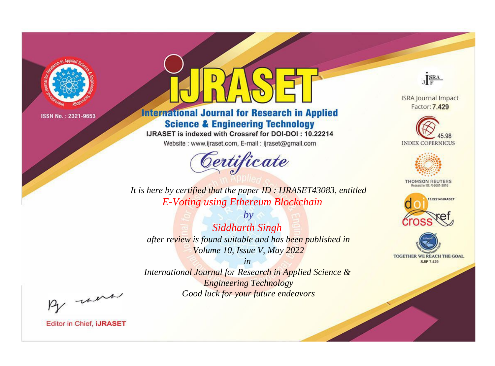

# **International Journal for Research in Applied Science & Engineering Technology**

IJRASET is indexed with Crossref for DOI-DOI: 10.22214

Website: www.ijraset.com, E-mail: ijraset@gmail.com



JERA

**ISRA Journal Impact** Factor: 7.429





**THOMSON REUTERS** 



TOGETHER WE REACH THE GOAL **SJIF 7.429** 

*It is here by certified that the paper ID : IJRASET43083, entitled E-Voting using Ethereum Blockchain*

*by Siddharth Singh after review is found suitable and has been published in Volume 10, Issue V, May 2022*

*in* 

*International Journal for Research in Applied Science & Engineering Technology Good luck for your future endeavors*

By morn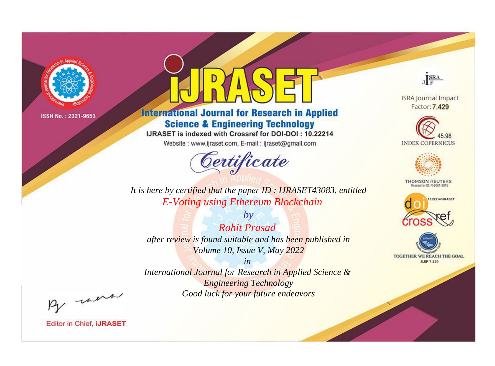

# **International Journal for Research in Applied Science & Engineering Technology**

IJRASET is indexed with Crossref for DOI-DOI: 10.22214

Website: www.ijraset.com, E-mail: ijraset@gmail.com



JERA

**ISRA Journal Impact** Factor: 7.429





**THOMSON REUTERS** 



TOGETHER WE REACH THE GOAL **SJIF 7.429** 

*It is here by certified that the paper ID : IJRASET43083, entitled E-Voting using Ethereum Blockchain*

*by Rohit Prasad after review is found suitable and has been published in Volume 10, Issue V, May 2022*

*in* 

*International Journal for Research in Applied Science & Engineering Technology Good luck for your future endeavors*

By morn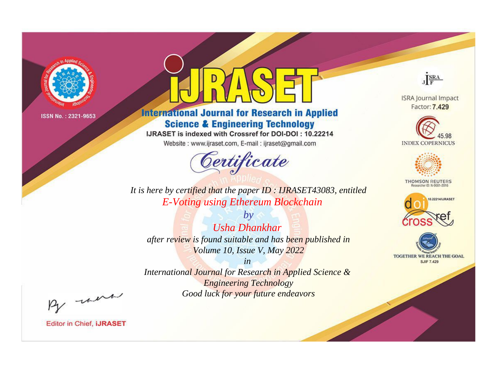

# **International Journal for Research in Applied Science & Engineering Technology**

IJRASET is indexed with Crossref for DOI-DOI: 10.22214

Website: www.ijraset.com, E-mail: ijraset@gmail.com



JERA **ISRA Journal Impact** 

Factor: 7.429





**THOMSON REUTERS** 



TOGETHER WE REACH THE GOAL **SJIF 7.429** 

*It is here by certified that the paper ID : IJRASET43083, entitled E-Voting using Ethereum Blockchain*

*by Usha Dhankhar after review is found suitable and has been published in Volume 10, Issue V, May 2022*

*in* 

*International Journal for Research in Applied Science & Engineering Technology Good luck for your future endeavors*

By morn